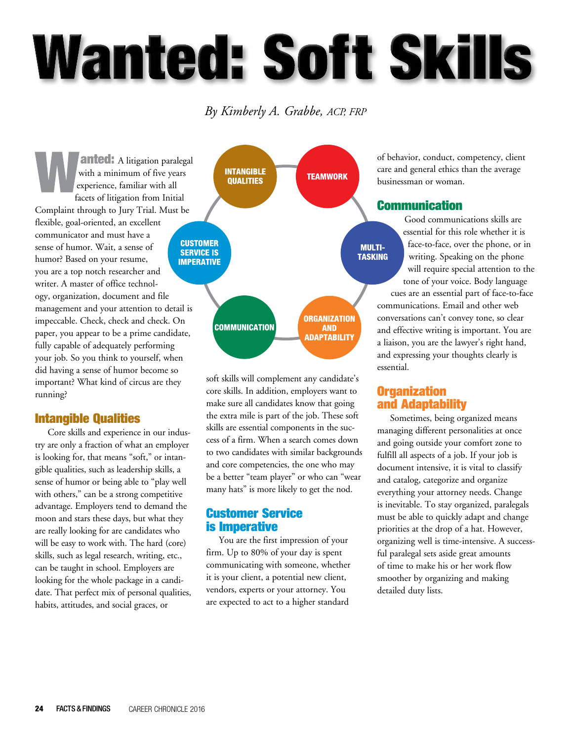# **Wanted: Soft Skills**

### *By Kimberly A. Grabbe, ACP, FRP*

**anted:** A litigation paralegal with a minimum of five years experience, familiar with all facets of litigation from Initial Complaint through to Jury Trial. Must be flexible, goal-oriented, an excellent communicator and must have a sense of humor. Wait, a sense of humor? Based on your resume, you are a top notch researcher and writer. A master of office technology, organization, document and file management and your attention to detail is impeccable. Check, check and check. On paper, you appear to be a prime candidate, fully capable of adequately performing your job. So you think to yourself, when did having a sense of humor become so important? What kind of circus are they running?

#### Intangible Qualities

Core skills and experience in our industry are only a fraction of what an employer is looking for, that means "soft," or intangible qualities, such as leadership skills, a sense of humor or being able to "play well with others," can be a strong competitive advantage. Employers tend to demand the moon and stars these days, but what they are really looking for are candidates who will be easy to work with. The hard (core) skills, such as legal research, writing, etc., can be taught in school. Employers are looking for the whole package in a candidate. That perfect mix of personal qualities, habits, attitudes, and social graces, or



soft skills will complement any candidate's core skills. In addition, employers want to make sure all candidates know that going the extra mile is part of the job. These soft skills are essential components in the success of a firm. When a search comes down to two candidates with similar backgrounds and core competencies, the one who may be a better "team player" or who can "wear many hats" is more likely to get the nod.

#### Customer Service is Imperative

You are the first impression of your firm. Up to 80% of your day is spent communicating with someone, whether it is your client, a potential new client, vendors, experts or your attorney. You are expected to act to a higher standard

of behavior, conduct, competency, client care and general ethics than the average businessman or woman.

#### Communication

Good communications skills are essential for this role whether it is face-to-face, over the phone, or in writing. Speaking on the phone will require special attention to the tone of your voice. Body language

cues are an essential part of face-to-face communications. Email and other web conversations can't convey tone, so clear and effective writing is important. You are a liaison, you are the lawyer's right hand, and expressing your thoughts clearly is essential.

#### **Organization** and Adaptability

Sometimes, being organized means managing different personalities at once and going outside your comfort zone to fulfill all aspects of a job. If your job is document intensive, it is vital to classify and catalog, categorize and organize everything your attorney needs. Change is inevitable. To stay organized, paralegals must be able to quickly adapt and change priorities at the drop of a hat. However, organizing well is time-intensive. A successful paralegal sets aside great amounts of time to make his or her work flow smoother by organizing and making detailed duty lists.